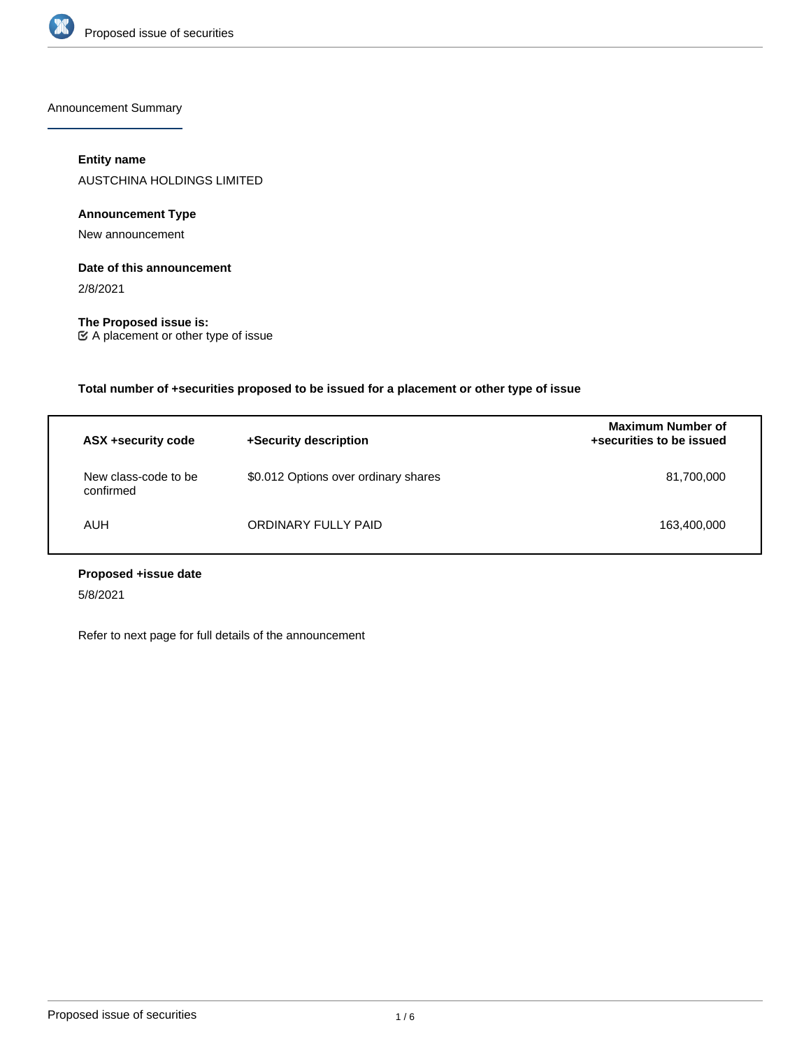

Announcement Summary

# **Entity name**

AUSTCHINA HOLDINGS LIMITED

# **Announcement Type**

New announcement

# **Date of this announcement**

2/8/2021

**The Proposed issue is:** A placement or other type of issue

**Total number of +securities proposed to be issued for a placement or other type of issue**

| ASX +security code                | +Security description                | <b>Maximum Number of</b><br>+securities to be issued |
|-----------------------------------|--------------------------------------|------------------------------------------------------|
| New class-code to be<br>confirmed | \$0.012 Options over ordinary shares | 81,700,000                                           |
| AUH                               | ORDINARY FULLY PAID                  | 163,400,000                                          |

# **Proposed +issue date**

5/8/2021

Refer to next page for full details of the announcement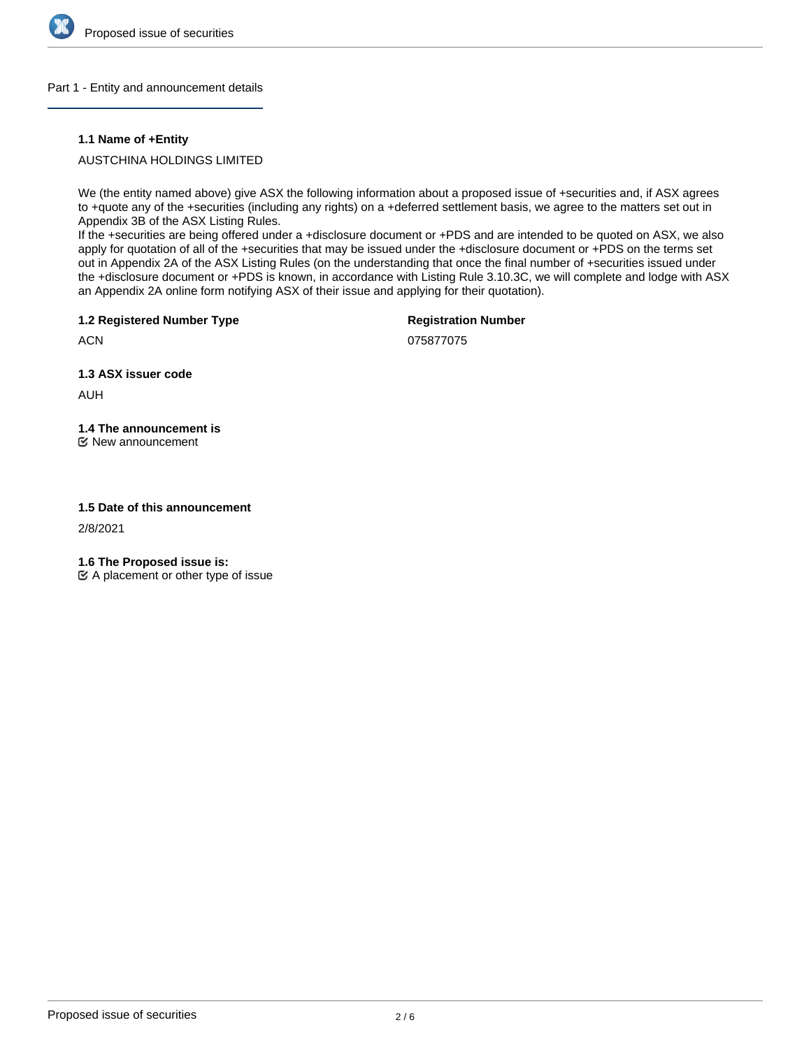

## Part 1 - Entity and announcement details

## **1.1 Name of +Entity**

# AUSTCHINA HOLDINGS LIMITED

We (the entity named above) give ASX the following information about a proposed issue of +securities and, if ASX agrees to +quote any of the +securities (including any rights) on a +deferred settlement basis, we agree to the matters set out in Appendix 3B of the ASX Listing Rules.

If the +securities are being offered under a +disclosure document or +PDS and are intended to be quoted on ASX, we also apply for quotation of all of the +securities that may be issued under the +disclosure document or +PDS on the terms set out in Appendix 2A of the ASX Listing Rules (on the understanding that once the final number of +securities issued under the +disclosure document or +PDS is known, in accordance with Listing Rule 3.10.3C, we will complete and lodge with ASX an Appendix 2A online form notifying ASX of their issue and applying for their quotation).

**1.2 Registered Number Type**

**Registration Number**

075877075

**1.3 ASX issuer code**

AUH

**ACN** 

# **1.4 The announcement is**

New announcement

## **1.5 Date of this announcement**

2/8/2021

**1.6 The Proposed issue is:**

 $\mathfrak{C}$  A placement or other type of issue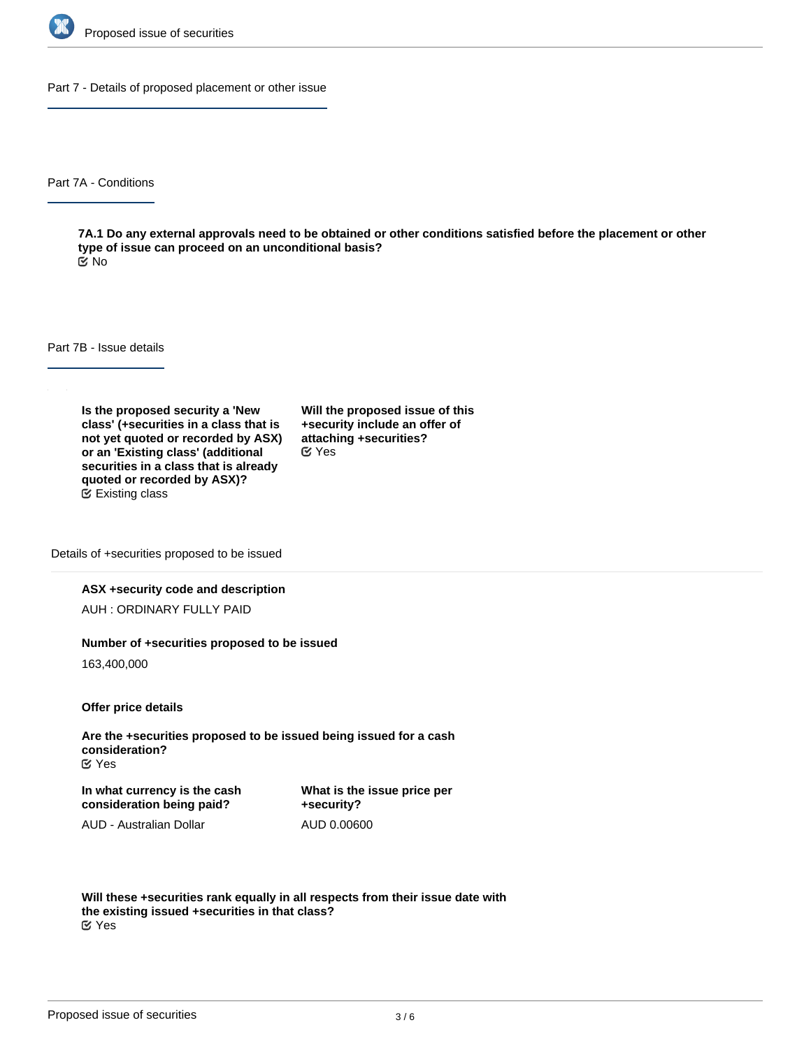

Part 7 - Details of proposed placement or other issue

Part 7A - Conditions

**7A.1 Do any external approvals need to be obtained or other conditions satisfied before the placement or other type of issue can proceed on an unconditional basis?** No

Part 7B - Issue details

**Is the proposed security a 'New class' (+securities in a class that is not yet quoted or recorded by ASX) or an 'Existing class' (additional securities in a class that is already quoted or recorded by ASX)?** Existing class

**Will the proposed issue of this +security include an offer of attaching +securities?** Yes

Details of +securities proposed to be issued

## **ASX +security code and description**

AUH : ORDINARY FULLY PAID

#### **Number of +securities proposed to be issued**

163,400,000

**Offer price details**

**Are the +securities proposed to be issued being issued for a cash consideration?** Yes

**In what currency is the cash consideration being paid?**

**What is the issue price per +security?** AUD 0.00600

AUD - Australian Dollar

**Will these +securities rank equally in all respects from their issue date with the existing issued +securities in that class?** Yes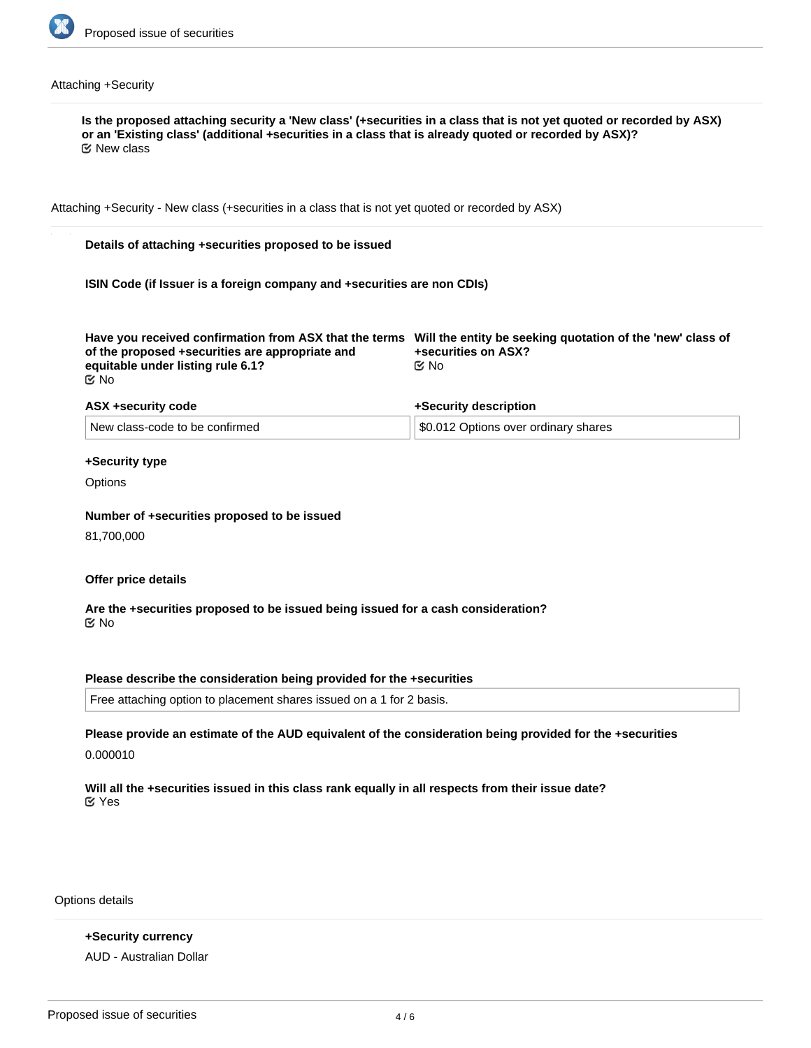

# Attaching +Security

| Attaching +Security - New class (+securities in a class that is not yet quoted or recorded by ASX)                                                                                                                             |                                          |
|--------------------------------------------------------------------------------------------------------------------------------------------------------------------------------------------------------------------------------|------------------------------------------|
| Details of attaching +securities proposed to be issued                                                                                                                                                                         |                                          |
| ISIN Code (if Issuer is a foreign company and +securities are non CDIs)                                                                                                                                                        |                                          |
| Have you received confirmation from ASX that the terms Will the entity be seeking quotation of the 'new' class of<br>of the proposed +securities are appropriate and<br>equitable under listing rule 6.1?<br>$\mathfrak{C}$ No | +securities on ASX?<br>$\mathfrak{C}$ No |
| ASX +security code                                                                                                                                                                                                             | +Security description                    |
| New class-code to be confirmed                                                                                                                                                                                                 | \$0.012 Options over ordinary shares     |
| +Security type                                                                                                                                                                                                                 |                                          |
| Options                                                                                                                                                                                                                        |                                          |
| Number of +securities proposed to be issued                                                                                                                                                                                    |                                          |
| 81,700,000                                                                                                                                                                                                                     |                                          |
|                                                                                                                                                                                                                                |                                          |
| Offer price details                                                                                                                                                                                                            |                                          |
| Are the +securities proposed to be issued being issued for a cash consideration?<br>় No                                                                                                                                       |                                          |
|                                                                                                                                                                                                                                |                                          |
| Please describe the consideration being provided for the +securities<br>Free attaching option to placement shares issued on a 1 for 2 basis.                                                                                   |                                          |
|                                                                                                                                                                                                                                |                                          |
| Please provide an estimate of the AUD equivalent of the consideration being provided for the +securities                                                                                                                       |                                          |
| 0.000010                                                                                                                                                                                                                       |                                          |
| Will all the +securities issued in this class rank equally in all respects from their issue date?<br>$\mathfrak{C}$ Yes                                                                                                        |                                          |
|                                                                                                                                                                                                                                |                                          |

Options details

**+Security currency** AUD - Australian Dollar

**Exercise price Expiry date**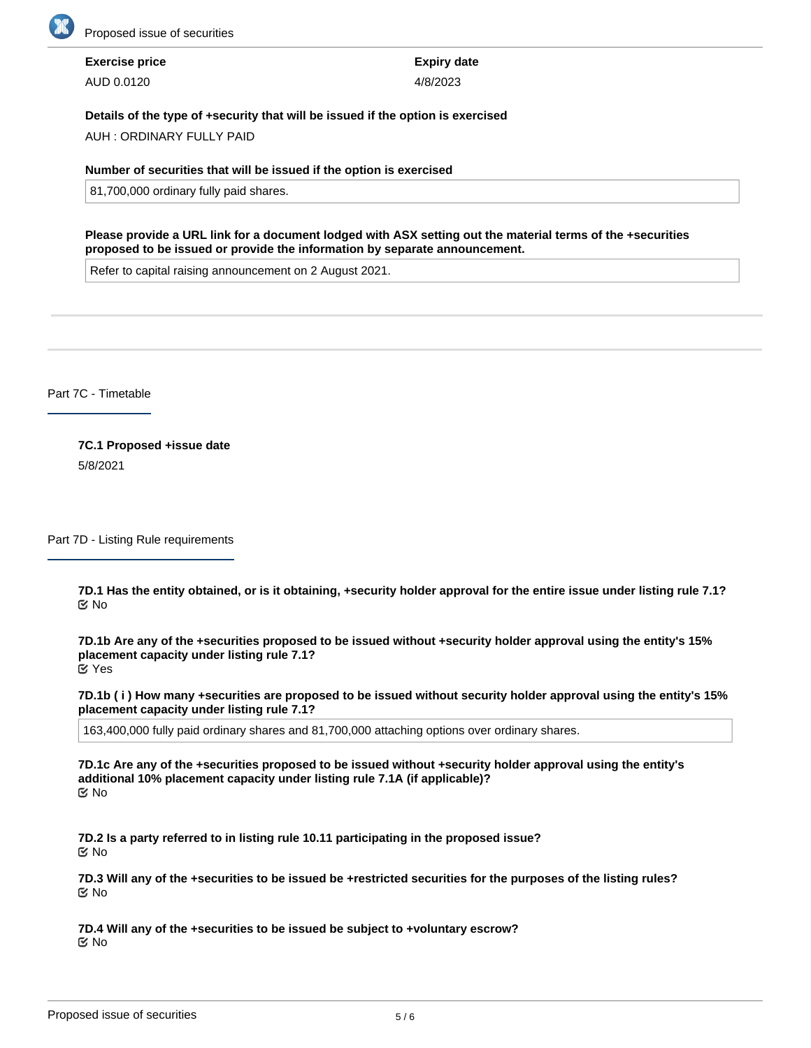

**Exercise price** AUD 0.0120

**Expiry date** 4/8/2023

## **Details of the type of +security that will be issued if the option is exercised**

AUH : ORDINARY FULLY PAID

#### **Number of securities that will be issued if the option is exercised**

81,700,000 ordinary fully paid shares.

**Please provide a URL link for a document lodged with ASX setting out the material terms of the +securities proposed to be issued or provide the information by separate announcement.**

Refer to capital raising announcement on 2 August 2021.

Part 7C - Timetable

**7C.1 Proposed +issue date** 5/8/2021

Part 7D - Listing Rule requirements

**7D.1 Has the entity obtained, or is it obtaining, +security holder approval for the entire issue under listing rule 7.1?** No

**7D.1b Are any of the +securities proposed to be issued without +security holder approval using the entity's 15% placement capacity under listing rule 7.1?** Yes

**7D.1b ( i ) How many +securities are proposed to be issued without security holder approval using the entity's 15% placement capacity under listing rule 7.1?**

163,400,000 fully paid ordinary shares and 81,700,000 attaching options over ordinary shares.

**7D.1c Are any of the +securities proposed to be issued without +security holder approval using the entity's additional 10% placement capacity under listing rule 7.1A (if applicable)?** No

**7D.2 Is a party referred to in listing rule 10.11 participating in the proposed issue?** No

**7D.3 Will any of the +securities to be issued be +restricted securities for the purposes of the listing rules?** No

**7D.4 Will any of the +securities to be issued be subject to +voluntary escrow?** No